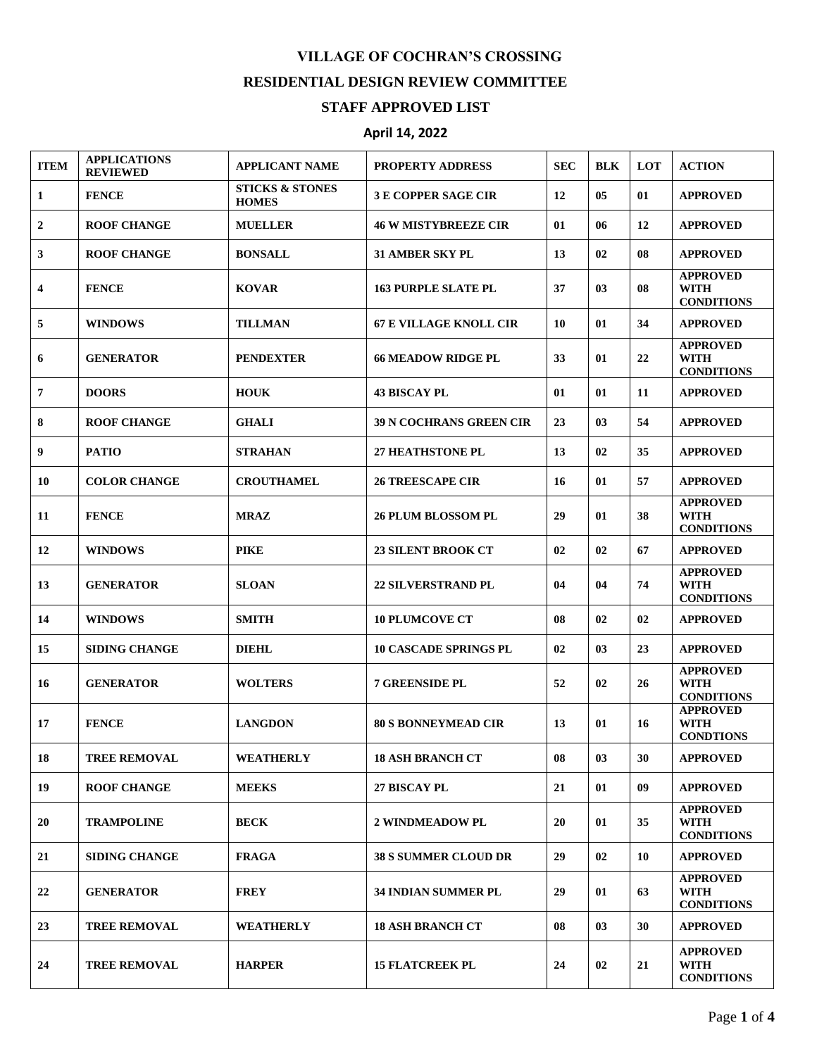## **VILLAGE OF COCHRAN'S CROSSING RESIDENTIAL DESIGN REVIEW COMMITTEE STAFF APPROVED LIST**

## **April 14, 2022**

| <b>ITEM</b>             | <b>APPLICATIONS</b><br><b>REVIEWED</b> | <b>APPLICANT NAME</b>                      | <b>PROPERTY ADDRESS</b>        | <b>SEC</b> | <b>BLK</b> | LOT | <b>ACTION</b>                                       |
|-------------------------|----------------------------------------|--------------------------------------------|--------------------------------|------------|------------|-----|-----------------------------------------------------|
| 1                       | <b>FENCE</b>                           | <b>STICKS &amp; STONES</b><br><b>HOMES</b> | <b>3 E COPPER SAGE CIR</b>     | 12         | 05         | 01  | <b>APPROVED</b>                                     |
| $\mathbf{2}$            | <b>ROOF CHANGE</b>                     | <b>MUELLER</b>                             | <b>46 W MISTYBREEZE CIR</b>    | 01         | 06         | 12  | <b>APPROVED</b>                                     |
| 3                       | <b>ROOF CHANGE</b>                     | <b>BONSALL</b>                             | <b>31 AMBER SKY PL</b>         | 13         | 02         | 08  | <b>APPROVED</b>                                     |
| $\overline{\mathbf{4}}$ | <b>FENCE</b>                           | <b>KOVAR</b>                               | <b>163 PURPLE SLATE PL</b>     | 37         | 03         | 08  | <b>APPROVED</b><br>WITH<br><b>CONDITIONS</b>        |
| 5                       | <b>WINDOWS</b>                         | <b>TILLMAN</b>                             | <b>67 E VILLAGE KNOLL CIR</b>  | 10         | 01         | 34  | <b>APPROVED</b>                                     |
| 6                       | <b>GENERATOR</b>                       | <b>PENDEXTER</b>                           | <b>66 MEADOW RIDGE PL</b>      | 33         | 01         | 22  | <b>APPROVED</b><br><b>WITH</b><br><b>CONDITIONS</b> |
| $\overline{7}$          | <b>DOORS</b>                           | <b>HOUK</b>                                | <b>43 BISCAY PL</b>            | 01         | 01         | 11  | <b>APPROVED</b>                                     |
| 8                       | <b>ROOF CHANGE</b>                     | <b>GHALI</b>                               | <b>39 N COCHRANS GREEN CIR</b> | 23         | 03         | 54  | <b>APPROVED</b>                                     |
| 9                       | <b>PATIO</b>                           | <b>STRAHAN</b>                             | <b>27 HEATHSTONE PL</b>        | 13         | 02         | 35  | <b>APPROVED</b>                                     |
| 10                      | <b>COLOR CHANGE</b>                    | <b>CROUTHAMEL</b>                          | <b>26 TREESCAPE CIR</b>        | 16         | 01         | 57  | <b>APPROVED</b>                                     |
| 11                      | <b>FENCE</b>                           | <b>MRAZ</b>                                | <b>26 PLUM BLOSSOM PL</b>      | 29         | 01         | 38  | <b>APPROVED</b><br>WITH<br><b>CONDITIONS</b>        |
| 12                      | <b>WINDOWS</b>                         | <b>PIKE</b>                                | <b>23 SILENT BROOK CT</b>      | 02         | 02         | 67  | <b>APPROVED</b>                                     |
| 13                      | <b>GENERATOR</b>                       | <b>SLOAN</b>                               | <b>22 SILVERSTRAND PL</b>      | 04         | 04         | 74  | <b>APPROVED</b><br><b>WITH</b><br><b>CONDITIONS</b> |
| 14                      | <b>WINDOWS</b>                         | <b>SMITH</b>                               | <b>10 PLUMCOVE CT</b>          | 08         | 02         | 02  | <b>APPROVED</b>                                     |
| 15                      | <b>SIDING CHANGE</b>                   | <b>DIEHL</b>                               | <b>10 CASCADE SPRINGS PL</b>   | 02         | 03         | 23  | <b>APPROVED</b>                                     |
| 16                      | <b>GENERATOR</b>                       | <b>WOLTERS</b>                             | <b>7 GREENSIDE PL</b>          | 52         | 02         | 26  | <b>APPROVED</b><br><b>WITH</b><br><b>CONDITIONS</b> |
| 17                      | <b>FENCE</b>                           | <b>LANGDON</b>                             | <b>80 S BONNEYMEAD CIR</b>     | 13         | 01         | 16  | <b>APPROVED</b><br>WITH<br><b>CONDTIONS</b>         |
| 18                      | <b>TREE REMOVAL</b>                    | <b>WEATHERLY</b>                           | <b>18 ASH BRANCH CT</b>        | 08         | 03         | 30  | <b>APPROVED</b>                                     |
| 19                      | <b>ROOF CHANGE</b>                     | <b>MEEKS</b>                               | 27 BISCAY PL                   | 21         | 01         | 09  | <b>APPROVED</b>                                     |
| 20                      | <b>TRAMPOLINE</b>                      | <b>BECK</b>                                | <b>2 WINDMEADOW PL</b>         | 20         | 01         | 35  | <b>APPROVED</b><br><b>WITH</b><br><b>CONDITIONS</b> |
| 21                      | <b>SIDING CHANGE</b>                   | <b>FRAGA</b>                               | <b>38 S SUMMER CLOUD DR</b>    | 29         | 02         | 10  | <b>APPROVED</b>                                     |
| 22                      | <b>GENERATOR</b>                       | <b>FREY</b>                                | <b>34 INDIAN SUMMER PL</b>     | 29         | 01         | 63  | <b>APPROVED</b><br><b>WITH</b><br><b>CONDITIONS</b> |
| 23                      | <b>TREE REMOVAL</b>                    | <b>WEATHERLY</b>                           | <b>18 ASH BRANCH CT</b>        | 08         | 03         | 30  | <b>APPROVED</b>                                     |
| 24                      | <b>TREE REMOVAL</b>                    | <b>HARPER</b>                              | <b>15 FLATCREEK PL</b>         | 24         | 02         | 21  | <b>APPROVED</b><br><b>WITH</b><br><b>CONDITIONS</b> |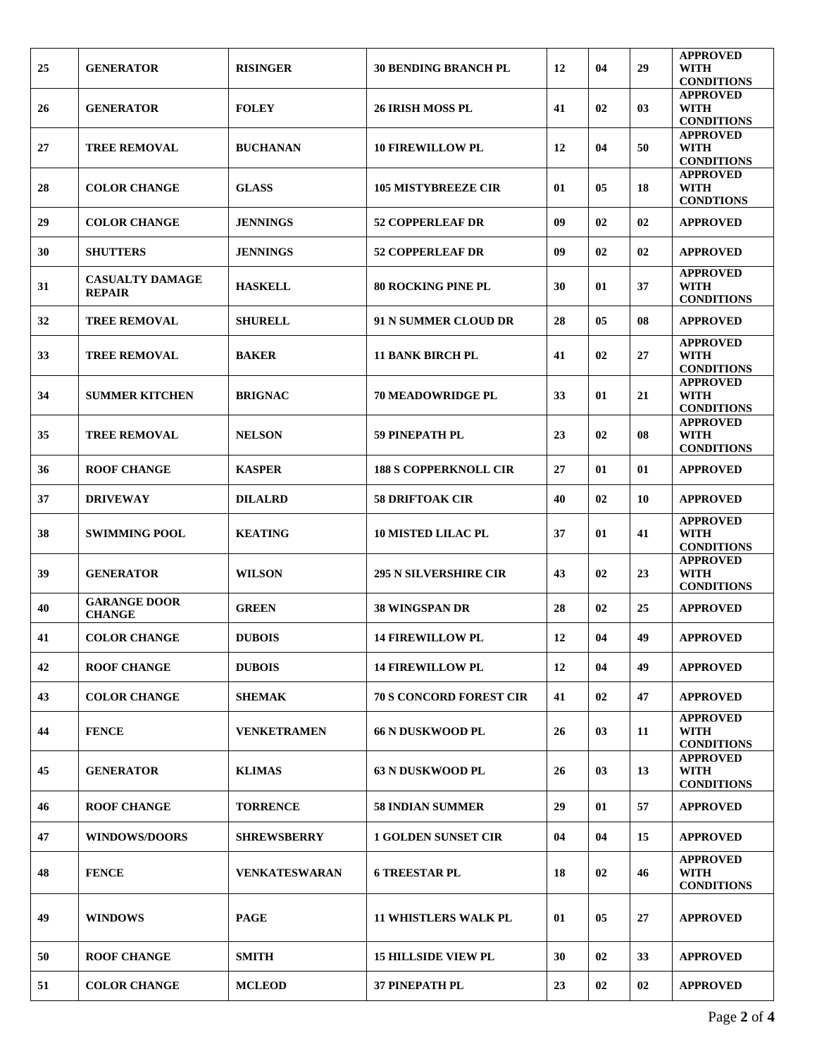| 25 | <b>GENERATOR</b>                        | <b>RISINGER</b>      | <b>30 BENDING BRANCH PL</b>    | 12 | 04 | 29 | <b>APPROVED</b><br><b>WITH</b><br><b>CONDITIONS</b> |
|----|-----------------------------------------|----------------------|--------------------------------|----|----|----|-----------------------------------------------------|
| 26 | <b>GENERATOR</b>                        | <b>FOLEY</b>         | <b>26 IRISH MOSS PL</b>        | 41 | 02 | 03 | <b>APPROVED</b><br><b>WITH</b><br><b>CONDITIONS</b> |
| 27 | <b>TREE REMOVAL</b>                     | <b>BUCHANAN</b>      | <b>10 FIREWILLOW PL</b>        | 12 | 04 | 50 | <b>APPROVED</b><br><b>WITH</b><br><b>CONDITIONS</b> |
| 28 | <b>COLOR CHANGE</b>                     | <b>GLASS</b>         | <b>105 MISTYBREEZE CIR</b>     | 01 | 05 | 18 | <b>APPROVED</b><br><b>WITH</b><br><b>CONDTIONS</b>  |
| 29 | <b>COLOR CHANGE</b>                     | <b>JENNINGS</b>      | <b>52 COPPERLEAF DR</b>        | 09 | 02 | 02 | <b>APPROVED</b>                                     |
| 30 | <b>SHUTTERS</b>                         | <b>JENNINGS</b>      | <b>52 COPPERLEAF DR</b>        | 09 | 02 | 02 | <b>APPROVED</b>                                     |
| 31 | <b>CASUALTY DAMAGE</b><br><b>REPAIR</b> | <b>HASKELL</b>       | <b>80 ROCKING PINE PL</b>      | 30 | 01 | 37 | <b>APPROVED</b><br><b>WITH</b><br><b>CONDITIONS</b> |
| 32 | <b>TREE REMOVAL</b>                     | <b>SHURELL</b>       | 91 N SUMMER CLOUD DR           | 28 | 05 | 08 | <b>APPROVED</b>                                     |
| 33 | <b>TREE REMOVAL</b>                     | <b>BAKER</b>         | <b>11 BANK BIRCH PL</b>        | 41 | 02 | 27 | <b>APPROVED</b><br><b>WITH</b><br><b>CONDITIONS</b> |
| 34 | <b>SUMMER KITCHEN</b>                   | <b>BRIGNAC</b>       | <b>70 MEADOWRIDGE PL</b>       | 33 | 01 | 21 | <b>APPROVED</b><br><b>WITH</b><br><b>CONDITIONS</b> |
| 35 | <b>TREE REMOVAL</b>                     | <b>NELSON</b>        | <b>59 PINEPATH PL</b>          | 23 | 02 | 08 | <b>APPROVED</b><br><b>WITH</b><br><b>CONDITIONS</b> |
| 36 | <b>ROOF CHANGE</b>                      | <b>KASPER</b>        | <b>188 S COPPERKNOLL CIR</b>   | 27 | 01 | 01 | <b>APPROVED</b>                                     |
| 37 | <b>DRIVEWAY</b>                         | <b>DILALRD</b>       | <b>58 DRIFTOAK CIR</b>         | 40 | 02 | 10 | <b>APPROVED</b>                                     |
| 38 | <b>SWIMMING POOL</b>                    | <b>KEATING</b>       | <b>10 MISTED LILAC PL</b>      | 37 | 01 | 41 | <b>APPROVED</b><br><b>WITH</b><br><b>CONDITIONS</b> |
| 39 | <b>GENERATOR</b>                        | <b>WILSON</b>        | <b>295 N SILVERSHIRE CIR</b>   | 43 | 02 | 23 | <b>APPROVED</b><br>WITH<br><b>CONDITIONS</b>        |
| 40 | <b>GARANGE DOOR</b><br><b>CHANGE</b>    | <b>GREEN</b>         | <b>38 WINGSPAN DR</b>          | 28 | 02 | 25 | <b>APPROVED</b>                                     |
| 41 | <b>COLOR CHANGE</b>                     | <b>DUBOIS</b>        | <b>14 FIREWILLOW PL</b>        | 12 | 04 | 49 | <b>APPROVED</b>                                     |
| 42 | <b>ROOF CHANGE</b>                      | <b>DUBOIS</b>        | <b>14 FIREWILLOW PL</b>        | 12 | 04 | 49 | <b>APPROVED</b>                                     |
| 43 | <b>COLOR CHANGE</b>                     | <b>SHEMAK</b>        | <b>70 S CONCORD FOREST CIR</b> | 41 | 02 | 47 | <b>APPROVED</b>                                     |
| 44 | <b>FENCE</b>                            | <b>VENKETRAMEN</b>   | <b>66 N DUSKWOOD PL</b>        | 26 | 03 | 11 | <b>APPROVED</b><br><b>WITH</b><br><b>CONDITIONS</b> |
| 45 | <b>GENERATOR</b>                        | <b>KLIMAS</b>        | <b>63 N DUSKWOOD PL</b>        | 26 | 03 | 13 | <b>APPROVED</b><br><b>WITH</b><br><b>CONDITIONS</b> |
| 46 | <b>ROOF CHANGE</b>                      | <b>TORRENCE</b>      | <b>58 INDIAN SUMMER</b>        | 29 | 01 | 57 | <b>APPROVED</b>                                     |
| 47 | <b>WINDOWS/DOORS</b>                    | <b>SHREWSBERRY</b>   | <b>1 GOLDEN SUNSET CIR</b>     | 04 | 04 | 15 | <b>APPROVED</b>                                     |
| 48 | <b>FENCE</b>                            | <b>VENKATESWARAN</b> | <b>6 TREESTAR PL</b>           | 18 | 02 | 46 | <b>APPROVED</b><br><b>WITH</b><br><b>CONDITIONS</b> |
| 49 | <b>WINDOWS</b>                          | <b>PAGE</b>          | <b>11 WHISTLERS WALK PL</b>    | 01 | 05 | 27 | <b>APPROVED</b>                                     |
| 50 | <b>ROOF CHANGE</b>                      | <b>SMITH</b>         | <b>15 HILLSIDE VIEW PL</b>     | 30 | 02 | 33 | <b>APPROVED</b>                                     |
| 51 | <b>COLOR CHANGE</b>                     | <b>MCLEOD</b>        | <b>37 PINEPATH PL</b>          | 23 | 02 | 02 | <b>APPROVED</b>                                     |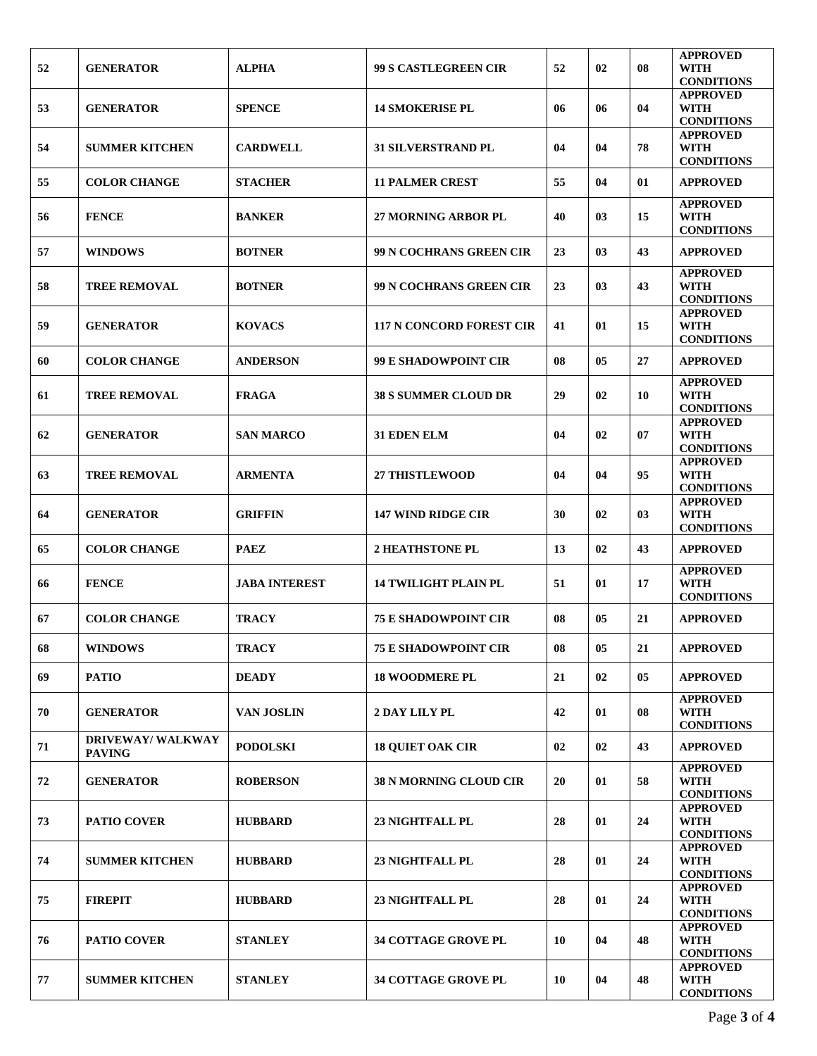| 52 | <b>GENERATOR</b>                          | <b>ALPHA</b>         | <b>99 S CASTLEGREEN CIR</b>     | 52 | 02     | 08        | <b>APPROVED</b><br><b>WITH</b>                      |
|----|-------------------------------------------|----------------------|---------------------------------|----|--------|-----------|-----------------------------------------------------|
| 53 | <b>GENERATOR</b>                          | <b>SPENCE</b>        | <b>14 SMOKERISE PL</b>          | 06 | 06     | 04        | <b>CONDITIONS</b><br><b>APPROVED</b><br><b>WITH</b> |
|    |                                           |                      |                                 |    |        |           | <b>CONDITIONS</b><br><b>APPROVED</b>                |
| 54 | <b>SUMMER KITCHEN</b>                     | <b>CARDWELL</b>      | <b>31 SILVERSTRAND PL</b>       | 04 | 04     | 78        | <b>WITH</b><br><b>CONDITIONS</b>                    |
| 55 | <b>COLOR CHANGE</b>                       | <b>STACHER</b>       | <b>11 PALMER CREST</b>          | 55 | 04     | 01        | <b>APPROVED</b>                                     |
| 56 | <b>FENCE</b>                              | <b>BANKER</b>        | <b>27 MORNING ARBOR PL</b>      | 40 | 03     | 15        | <b>APPROVED</b><br>WITH<br><b>CONDITIONS</b>        |
| 57 | <b>WINDOWS</b>                            | <b>BOTNER</b>        | 99 N COCHRANS GREEN CIR         | 23 | 03     | 43        | <b>APPROVED</b>                                     |
| 58 | <b>TREE REMOVAL</b>                       | <b>BOTNER</b>        | 99 N COCHRANS GREEN CIR         | 23 | 03     | 43        | <b>APPROVED</b><br><b>WITH</b><br><b>CONDITIONS</b> |
| 59 | <b>GENERATOR</b>                          | <b>KOVACS</b>        | <b>117 N CONCORD FOREST CIR</b> | 41 | 01     | 15        | <b>APPROVED</b><br><b>WITH</b><br><b>CONDITIONS</b> |
| 60 | <b>COLOR CHANGE</b>                       | <b>ANDERSON</b>      | <b>99 E SHADOWPOINT CIR</b>     | 08 | 05     | 27        | <b>APPROVED</b>                                     |
| 61 | <b>TREE REMOVAL</b>                       | <b>FRAGA</b>         | <b>38 S SUMMER CLOUD DR</b>     | 29 | 02     | 10        | <b>APPROVED</b><br><b>WITH</b><br><b>CONDITIONS</b> |
| 62 | <b>GENERATOR</b>                          | <b>SAN MARCO</b>     | 31 EDEN ELM                     | 04 | 02     | 07        | <b>APPROVED</b><br><b>WITH</b><br><b>CONDITIONS</b> |
| 63 | <b>TREE REMOVAL</b>                       | <b>ARMENTA</b>       | <b>27 THISTLEWOOD</b>           | 04 | 04     | 95        | <b>APPROVED</b><br><b>WITH</b><br><b>CONDITIONS</b> |
| 64 | <b>GENERATOR</b>                          | <b>GRIFFIN</b>       | <b>147 WIND RIDGE CIR</b>       | 30 | 02     | 03        | <b>APPROVED</b><br><b>WITH</b><br><b>CONDITIONS</b> |
| 65 | <b>COLOR CHANGE</b>                       | <b>PAEZ</b>          | <b>2 HEATHSTONE PL</b>          | 13 | 02     | 43        | <b>APPROVED</b>                                     |
| 66 | <b>FENCE</b>                              | <b>JABA INTEREST</b> | <b>14 TWILIGHT PLAIN PL</b>     | 51 | 01     | 17        | <b>APPROVED</b><br><b>WITH</b><br><b>CONDITIONS</b> |
| 67 | <b>COLOR CHANGE</b>                       | <b>TRACY</b>         | <b>75 E SHADOWPOINT CIR</b>     | 08 | 05     | 21        | <b>APPROVED</b>                                     |
| 68 | <b>WINDOWS</b>                            | <b>TRACY</b>         | <b>75 E SHADOWPOINT CIR</b>     | 08 | $05\,$ | $\bf{21}$ | <b>APPROVED</b>                                     |
| 69 | <b>PATIO</b>                              | <b>DEADY</b>         | <b>18 WOODMERE PL</b>           | 21 | 02     | 05        | <b>APPROVED</b>                                     |
| 70 | <b>GENERATOR</b>                          | <b>VAN JOSLIN</b>    | 2 DAY LILY PL                   | 42 | 01     | 08        | <b>APPROVED</b><br><b>WITH</b><br><b>CONDITIONS</b> |
| 71 | <b>DRIVEWAY/ WALKWAY</b><br><b>PAVING</b> | <b>PODOLSKI</b>      | <b>18 QUIET OAK CIR</b>         | 02 | 02     | 43        | <b>APPROVED</b>                                     |
| 72 | <b>GENERATOR</b>                          | <b>ROBERSON</b>      | <b>38 N MORNING CLOUD CIR</b>   | 20 | 01     | 58        | <b>APPROVED</b><br><b>WITH</b><br><b>CONDITIONS</b> |
| 73 | <b>PATIO COVER</b>                        | <b>HUBBARD</b>       | <b>23 NIGHTFALL PL</b>          | 28 | 01     | 24        | <b>APPROVED</b><br><b>WITH</b><br><b>CONDITIONS</b> |
| 74 | <b>SUMMER KITCHEN</b>                     | <b>HUBBARD</b>       | <b>23 NIGHTFALL PL</b>          | 28 | 01     | 24        | <b>APPROVED</b><br><b>WITH</b><br><b>CONDITIONS</b> |
| 75 | <b>FIREPIT</b>                            | <b>HUBBARD</b>       | <b>23 NIGHTFALL PL</b>          | 28 | 01     | 24        | <b>APPROVED</b><br><b>WITH</b><br><b>CONDITIONS</b> |
| 76 | <b>PATIO COVER</b>                        | <b>STANLEY</b>       | 34 COTTAGE GROVE PL             | 10 | 04     | 48        | <b>APPROVED</b><br><b>WITH</b><br><b>CONDITIONS</b> |
| 77 | <b>SUMMER KITCHEN</b>                     | <b>STANLEY</b>       | <b>34 COTTAGE GROVE PL</b>      | 10 | 04     | 48        | <b>APPROVED</b><br><b>WITH</b><br><b>CONDITIONS</b> |